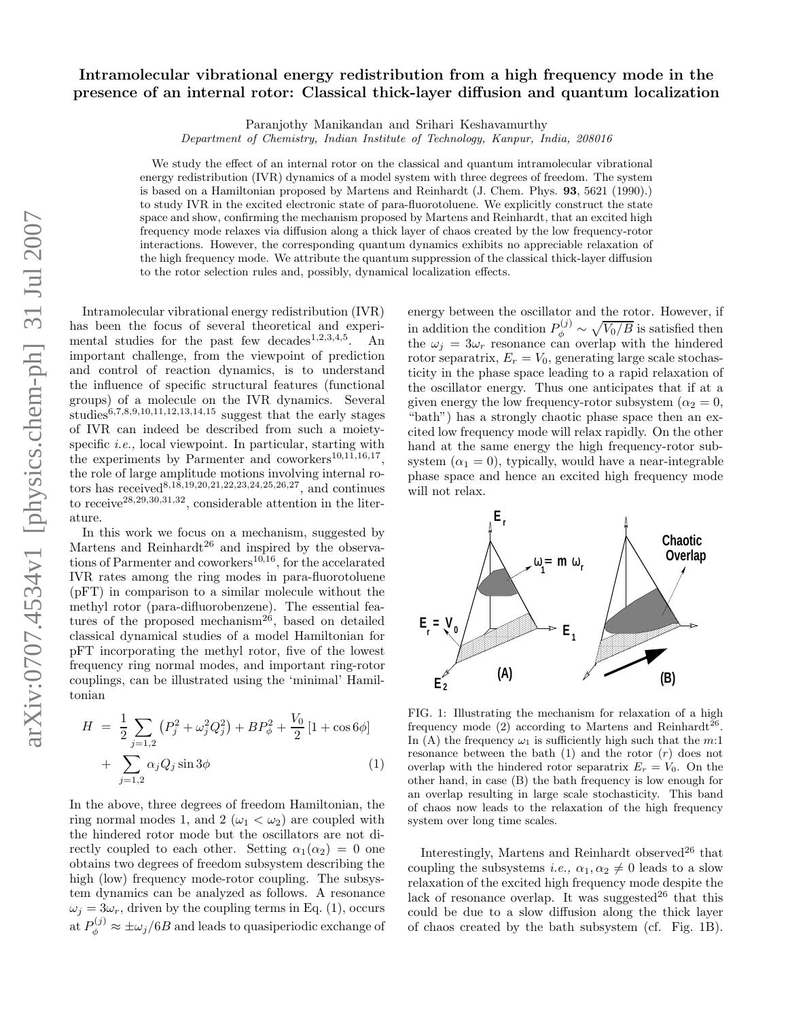## Intramolecular vibrational energy redistribution from a high frequency mode in the presence of an internal rotor: Classical thick-layer diffusion and quantum localization

Paranjothy Manikandan and Srihari Keshavamurthy

Department of Chemistry, Indian Institute of Technology, Kanpur, India, 208016

We study the effect of an internal rotor on the classical and quantum intramolecular vibrational energy redistribution (IVR) dynamics of a model system with three degrees of freedom. The system is based on a Hamiltonian proposed by Martens and Reinhardt (J. Chem. Phys. 93, 5621 (1990).) to study IVR in the excited electronic state of para-fluorotoluene. We explicitly construct the state space and show, confirming the mechanism proposed by Martens and Reinhardt, that an excited high frequency mode relaxes via diffusion along a thick layer of chaos created by the low frequency-rotor interactions. However, the corresponding quantum dynamics exhibits no appreciable relaxation of the high frequency mode. We attribute the quantum suppression of the classical thick-layer diffusion to the rotor selection rules and, possibly, dynamical localization effects.

Intramolecular vibrational energy redistribution (IVR) has been the focus of several theoretical and experimental studies for the past few decades<sup>1,2,3,4,5</sup>. An important challenge, from the viewpoint of prediction and control of reaction dynamics, is to understand the influence of specific structural features (functional groups) of a molecule on the IVR dynamics. Several studies<sup>6,7,8,9,10,11,12,13,14,15</sup> suggest that the early stages of IVR can indeed be described from such a moietyspecific *i.e.*, local viewpoint. In particular, starting with the experiments by Parmenter and coworkers $^{10,11,16,17}$ , the role of large amplitude motions involving internal rotors has received<sup>8,18,19,20,21,22,23,24,25,26,27</sup>, and continues to receive<sup>28,29,30,31,32</sup>, considerable attention in the literature.

In this work we focus on a mechanism, suggested by Martens and Reinhardt<sup>26</sup> and inspired by the observations of Parmenter and coworkers<sup>10,16</sup>, for the accelarated IVR rates among the ring modes in para-fluorotoluene (pFT) in comparison to a similar molecule without the methyl rotor (para-difluorobenzene). The essential features of the proposed mechanism<sup>26</sup>, based on detailed classical dynamical studies of a model Hamiltonian for pFT incorporating the methyl rotor, five of the lowest frequency ring normal modes, and important ring-rotor couplings, can be illustrated using the 'minimal' Hamiltonian

$$
H = \frac{1}{2} \sum_{j=1,2} (P_j^2 + \omega_j^2 Q_j^2) + BP_\phi^2 + \frac{V_0}{2} [1 + \cos 6\phi] + \sum_{j=1,2} \alpha_j Q_j \sin 3\phi
$$
 (1)

In the above, three degrees of freedom Hamiltonian, the ring normal modes 1, and 2 ( $\omega_1 < \omega_2$ ) are coupled with the hindered rotor mode but the oscillators are not directly coupled to each other. Setting  $\alpha_1(\alpha_2) = 0$  one obtains two degrees of freedom subsystem describing the high (low) frequency mode-rotor coupling. The subsystem dynamics can be analyzed as follows. A resonance  $\omega_i = 3\omega_r$ , driven by the coupling terms in Eq. (1), occurs at  $P_{\phi}^{(j)} \approx \pm \omega_j/6B$  and leads to quasiperiodic exchange of

energy between the oscillator and the rotor. However, if in addition the condition  $P_{\phi}^{(j)} \sim \sqrt{V_0/B}$  is satisfied then the  $\omega_j = 3\omega_r$  resonance can overlap with the hindered rotor separatrix,  $E_r = V_0$ , generating large scale stochasticity in the phase space leading to a rapid relaxation of the oscillator energy. Thus one anticipates that if at a given energy the low frequency-rotor subsystem ( $\alpha_2 = 0$ , "bath") has a strongly chaotic phase space then an excited low frequency mode will relax rapidly. On the other hand at the same energy the high frequency-rotor subsystem  $(\alpha_1 = 0)$ , typically, would have a near-integrable phase space and hence an excited high frequency mode will not relax.



FIG. 1: Illustrating the mechanism for relaxation of a high frequency mode (2) according to Martens and Reinhardt<sup>26</sup>. In (A) the frequency  $\omega_1$  is sufficiently high such that the m:1 resonance between the bath  $(1)$  and the rotor  $(r)$  does not overlap with the hindered rotor separatrix  $E_r = V_0$ . On the other hand, in case (B) the bath frequency is low enough for an overlap resulting in large scale stochasticity. This band of chaos now leads to the relaxation of the high frequency system over long time scales.

Interestingly, Martens and Reinhardt observed $^{26}$  that coupling the subsystems *i.e.*,  $\alpha_1, \alpha_2 \neq 0$  leads to a slow relaxation of the excited high frequency mode despite the lack of resonance overlap. It was suggested<sup>26</sup> that this could be due to a slow diffusion along the thick layer of chaos created by the bath subsystem (cf. Fig. 1B).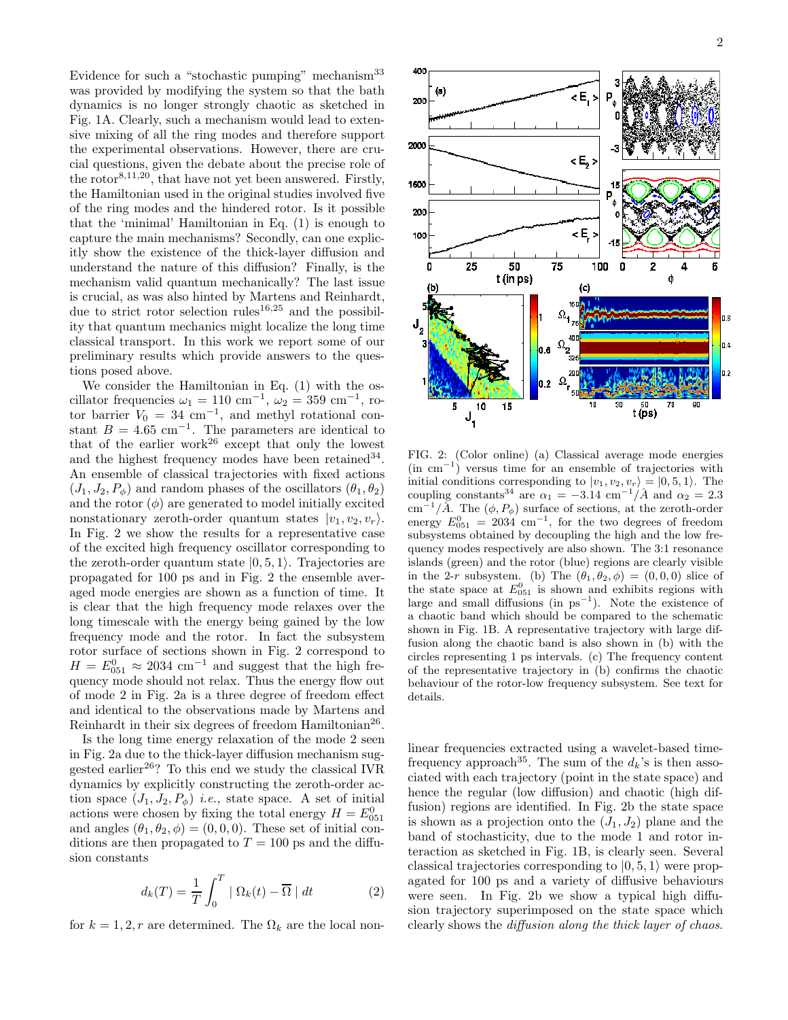Evidence for such a "stochastic pumping" mechanism<sup>33</sup> was provided by modifying the system so that the bath dynamics is no longer strongly chaotic as sketched in Fig. 1A. Clearly, such a mechanism would lead to extensive mixing of all the ring modes and therefore support the experimental observations. However, there are crucial questions, given the debate about the precise role of the rotor8,11,20, that have not yet been answered. Firstly, the Hamiltonian used in the original studies involved five of the ring modes and the hindered rotor. Is it possible that the 'minimal' Hamiltonian in Eq. (1) is enough to capture the main mechanisms? Secondly, can one explicitly show the existence of the thick-layer diffusion and understand the nature of this diffusion? Finally, is the mechanism valid quantum mechanically? The last issue is crucial, as was also hinted by Martens and Reinhardt, due to strict rotor selection rules<sup>16,25</sup> and the possibility that quantum mechanics might localize the long time classical transport. In this work we report some of our preliminary results which provide answers to the questions posed above.

We consider the Hamiltonian in Eq. (1) with the oscillator frequencies  $\omega_1 = 110 \text{ cm}^{-1}$ ,  $\omega_2 = 359 \text{ cm}^{-1}$ , rotor barrier  $V_0 = 34$  cm<sup>-1</sup>, and methyl rotational constant  $B = 4.65$  cm<sup>-1</sup>. The parameters are identical to that of the earlier work $^{26}$  except that only the lowest and the highest frequency modes have been retained  $34$ . An ensemble of classical trajectories with fixed actions  $(J_1, J_2, P_\phi)$  and random phases of the oscillators  $(\theta_1, \theta_2)$ and the rotor  $(\phi)$  are generated to model initially excited nonstationary zeroth-order quantum states  $|v_1, v_2, v_r\rangle$ . In Fig. 2 we show the results for a representative case of the excited high frequency oscillator corresponding to the zeroth-order quantum state  $|0, 5, 1\rangle$ . Trajectories are propagated for 100 ps and in Fig. 2 the ensemble averaged mode energies are shown as a function of time. It is clear that the high frequency mode relaxes over the long timescale with the energy being gained by the low frequency mode and the rotor. In fact the subsystem rotor surface of sections shown in Fig. 2 correspond to  $H = E_{0.51}^{0} \approx 2034$  cm<sup>-1</sup> and suggest that the high frequency mode should not relax. Thus the energy flow out of mode 2 in Fig. 2a is a three degree of freedom effect and identical to the observations made by Martens and Reinhardt in their six degrees of freedom Hamiltonian<sup>26</sup>.

Is the long time energy relaxation of the mode 2 seen in Fig. 2a due to the thick-layer diffusion mechanism suggested earlier<sup>26</sup>? To this end we study the classical IVR dynamics by explicitly constructing the zeroth-order action space  $(J_1, J_2, P_\phi)$  *i.e.*, state space. A set of initial actions were chosen by fixing the total energy  $H = E_{0.51}^0$ and angles  $(\theta_1, \theta_2, \phi) = (0, 0, 0)$ . These set of initial conditions are then propagated to  $T = 100$  ps and the diffusion constants

$$
d_k(T) = \frac{1}{T} \int_0^T | \Omega_k(t) - \overline{\Omega} | dt \qquad (2)
$$

for  $k = 1, 2, r$  are determined. The  $\Omega_k$  are the local non-



FIG. 2: (Color online) (a) Classical average mode energies (in cm<sup>−</sup><sup>1</sup> ) versus time for an ensemble of trajectories with initial conditions corresponding to  $|v_1, v_2, v_r\rangle = |0, 5, 1\rangle$ . The coupling constants<sup>34</sup> are  $\alpha_1 = -3.14$  cm<sup>-1</sup>/ $\AA$  and  $\alpha_2 = 2.3$ cm<sup>-1</sup>/*Å*. The  $(\phi, P_{\phi})$  surface of sections, at the zeroth-order energy  $E_{0.51}^{0} = 2034$  cm<sup>-1</sup>, for the two degrees of freedom subsystems obtained by decoupling the high and the low frequency modes respectively are also shown. The 3:1 resonance islands (green) and the rotor (blue) regions are clearly visible in the 2-r subsystem. (b) The  $(\theta_1, \theta_2, \phi) = (0, 0, 0)$  slice of the state space at  $E_{051}^0$  is shown and exhibits regions with large and small diffusions (in  $ps^{-1}$ ). Note the existence of a chaotic band which should be compared to the schematic shown in Fig. 1B. A representative trajectory with large diffusion along the chaotic band is also shown in (b) with the circles representing 1 ps intervals. (c) The frequency content of the representative trajectory in (b) confirms the chaotic behaviour of the rotor-low frequency subsystem. See text for details.

linear frequencies extracted using a wavelet-based timefrequency approach<sup>35</sup>. The sum of the  $d_k$ 's is then associated with each trajectory (point in the state space) and hence the regular (low diffusion) and chaotic (high diffusion) regions are identified. In Fig. 2b the state space is shown as a projection onto the  $(J_1, J_2)$  plane and the band of stochasticity, due to the mode 1 and rotor interaction as sketched in Fig. 1B, is clearly seen. Several classical trajectories corresponding to  $|0, 5, 1\rangle$  were propagated for 100 ps and a variety of diffusive behaviours were seen. In Fig. 2b we show a typical high diffusion trajectory superimposed on the state space which clearly shows the diffusion along the thick layer of chaos.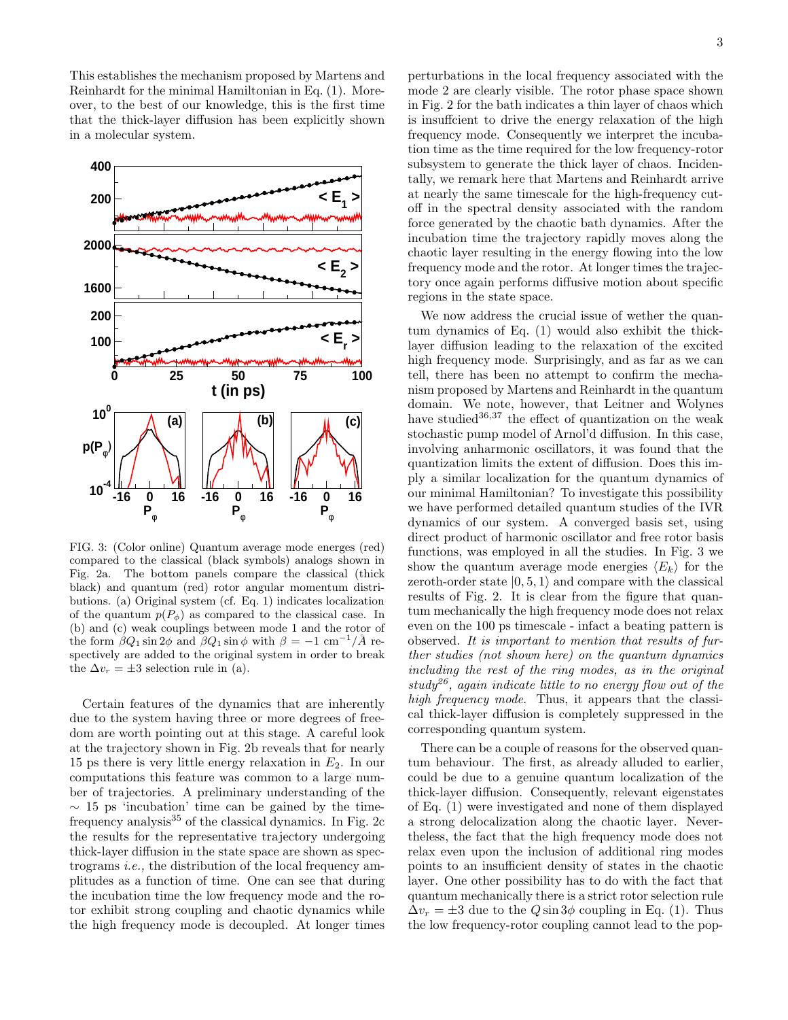This establishes the mechanism proposed by Martens and Reinhardt for the minimal Hamiltonian in Eq. (1). Moreover, to the best of our knowledge, this is the first time that the thick-layer diffusion has been explicitly shown in a molecular system.



FIG. 3: (Color online) Quantum average mode energes (red) compared to the classical (black symbols) analogs shown in Fig. 2a. The bottom panels compare the classical (thick black) and quantum (red) rotor angular momentum distributions. (a) Original system (cf. Eq. 1) indicates localization of the quantum  $p(P_{\phi})$  as compared to the classical case. In (b) and (c) weak couplings between mode 1 and the rotor of the form  $\beta Q_1 \sin 2\phi$  and  $\beta Q_1 \sin \phi$  with  $\beta = -1 \text{ cm}^{-1}/\mathring{A}$  respectively are added to the original system in order to break the  $\Delta v_r = \pm 3$  selection rule in (a).

Certain features of the dynamics that are inherently due to the system having three or more degrees of freedom are worth pointing out at this stage. A careful look at the trajectory shown in Fig. 2b reveals that for nearly 15 ps there is very little energy relaxation in  $E_2$ . In our computations this feature was common to a large number of trajectories. A preliminary understanding of the  $\sim$  15 ps 'incubation' time can be gained by the timefrequency analysis<sup>35</sup> of the classical dynamics. In Fig. 2c the results for the representative trajectory undergoing thick-layer diffusion in the state space are shown as spectrograms i.e., the distribution of the local frequency amplitudes as a function of time. One can see that during the incubation time the low frequency mode and the rotor exhibit strong coupling and chaotic dynamics while the high frequency mode is decoupled. At longer times

perturbations in the local frequency associated with the mode 2 are clearly visible. The rotor phase space shown in Fig. 2 for the bath indicates a thin layer of chaos which is insuffcient to drive the energy relaxation of the high frequency mode. Consequently we interpret the incubation time as the time required for the low frequency-rotor subsystem to generate the thick layer of chaos. Incidentally, we remark here that Martens and Reinhardt arrive at nearly the same timescale for the high-frequency cutoff in the spectral density associated with the random force generated by the chaotic bath dynamics. After the incubation time the trajectory rapidly moves along the chaotic layer resulting in the energy flowing into the low frequency mode and the rotor. At longer times the trajectory once again performs diffusive motion about specific regions in the state space.

We now address the crucial issue of wether the quantum dynamics of Eq. (1) would also exhibit the thicklayer diffusion leading to the relaxation of the excited high frequency mode. Surprisingly, and as far as we can tell, there has been no attempt to confirm the mechanism proposed by Martens and Reinhardt in the quantum domain. We note, however, that Leitner and Wolynes have studied  $36,37$  the effect of quantization on the weak stochastic pump model of Arnol'd diffusion. In this case, involving anharmonic oscillators, it was found that the quantization limits the extent of diffusion. Does this imply a similar localization for the quantum dynamics of our minimal Hamiltonian? To investigate this possibility we have performed detailed quantum studies of the IVR dynamics of our system. A converged basis set, using direct product of harmonic oscillator and free rotor basis functions, was employed in all the studies. In Fig. 3 we show the quantum average mode energies  $\langle E_k \rangle$  for the zeroth-order state  $|0, 5, 1\rangle$  and compare with the classical results of Fig. 2. It is clear from the figure that quantum mechanically the high frequency mode does not relax even on the 100 ps timescale - infact a beating pattern is observed. It is important to mention that results of further studies (not shown here) on the quantum dynamics including the rest of the ring modes, as in the original study<sup>26</sup>, again indicate little to no energy flow out of the high frequency mode. Thus, it appears that the classical thick-layer diffusion is completely suppressed in the corresponding quantum system.

There can be a couple of reasons for the observed quantum behaviour. The first, as already alluded to earlier, could be due to a genuine quantum localization of the thick-layer diffusion. Consequently, relevant eigenstates of Eq. (1) were investigated and none of them displayed a strong delocalization along the chaotic layer. Nevertheless, the fact that the high frequency mode does not relax even upon the inclusion of additional ring modes points to an insufficient density of states in the chaotic layer. One other possibility has to do with the fact that quantum mechanically there is a strict rotor selection rule  $\Delta v_r = \pm 3$  due to the  $Q \sin 3\phi$  coupling in Eq. (1). Thus the low frequency-rotor coupling cannot lead to the pop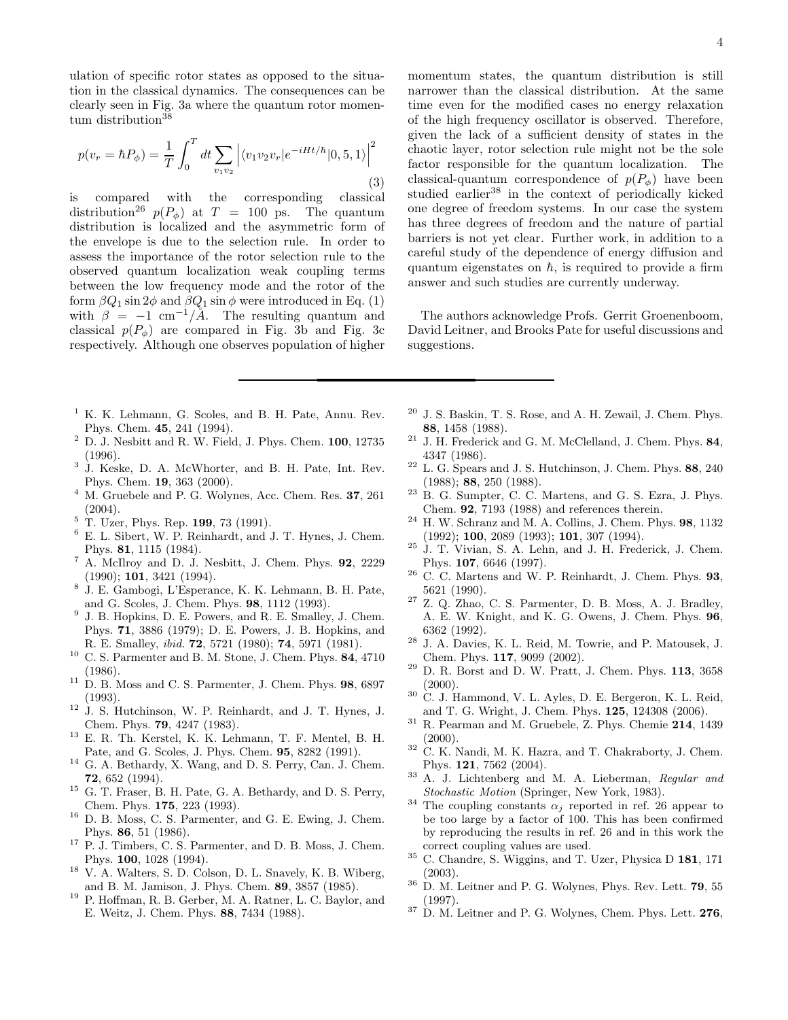ulation of specific rotor states as opposed to the situation in the classical dynamics. The consequences can be clearly seen in Fig. 3a where the quantum rotor momentum distribution $38$ 

$$
p(v_r = \hbar P_{\phi}) = \frac{1}{T} \int_0^T dt \sum_{v_1 v_2} \left| \langle v_1 v_2 v_r | e^{-iHt/\hbar} | 0, 5, 1 \rangle \right|^2
$$
\n(3)

is compared with the corresponding classical distribution<sup>26</sup>  $p(P_{\phi})$  at T = 100 ps. The quantum distribution is localized and the asymmetric form of the envelope is due to the selection rule. In order to assess the importance of the rotor selection rule to the observed quantum localization weak coupling terms between the low frequency mode and the rotor of the form  $\beta Q_1 \sin 2\phi$  and  $\beta Q_1 \sin \phi$  were introduced in Eq. (1) with  $\beta = -1$  cm<sup>-1</sup>/Å. The resulting quantum and classical  $p(P_{\phi})$  are compared in Fig. 3b and Fig. 3c respectively. Although one observes population of higher

- $<sup>1</sup>$  K. K. Lehmann, G. Scoles, and B. H. Pate, Annu. Rev.</sup> Phys. Chem. 45, 241 (1994).
- $^2$  D. J. Nesbitt and R. W. Field, J. Phys. Chem. 100, 12735 (1996).
- 3 J. Keske, D. A. McWhorter, and B. H. Pate, Int. Rev. Phys. Chem. 19, 363 (2000).
- <sup>4</sup> M. Gruebele and P. G. Wolynes, Acc. Chem. Res. 37, 261  $(2004).$
- $5$  T. Uzer, Phys. Rep. 199, 73 (1991).
- <sup>6</sup> E. L. Sibert, W. P. Reinhardt, and J. T. Hynes, J. Chem. Phys. 81, 1115 (1984).
- $^7$  A. McIlroy and D. J. Nesbitt, J. Chem. Phys. 92, 2229 (1990); 101, 3421 (1994).
- 8 J. E. Gambogi, L'Esperance, K. K. Lehmann, B. H. Pate, and G. Scoles, J. Chem. Phys. 98, 1112 (1993).
- <sup>9</sup> J. B. Hopkins, D. E. Powers, and R. E. Smalley, J. Chem. Phys. 71, 3886 (1979); D. E. Powers, J. B. Hopkins, and R. E. Smalley, ibid. 72, 5721 (1980); 74, 5971 (1981).
- $^{10}\,$  C. S. Parmenter and B. M. Stone, J. Chem. Phys.  $\bf 84, 4710$ (1986).
- $11$  D. B. Moss and C. S. Parmenter, J. Chem. Phys. 98, 6897 (1993).
- $12 \text{ J. S. Hutchinson. W. P. Reinhardt, and J. T. Hvnes. J.}$ Chem. Phys. 79, 4247 (1983).
- $13$  E. R. Th. Kerstel, K. K. Lehmann, T. F. Mentel, B. H. Pate, and G. Scoles, J. Phys. Chem. 95, 8282 (1991).
- $^{14}\,$  G. A. Bethardy, X. Wang, and D. S. Perry, Can. J. Chem. 72, 652 (1994).
- $^{15}\,$  G. T. Fraser, B. H. Pate, G. A. Bethardy, and D. S. Perry, Chem. Phys. 175, 223 (1993).
- $^{16}$  D. B. Moss, C. S. Parmenter, and G. E. Ewing, J. Chem. Phys. 86, 51 (1986).
- <sup>17</sup> P. J. Timbers, C. S. Parmenter, and D. B. Moss, J. Chem. Phys. 100, 1028 (1994).
- <sup>18</sup> V. A. Walters, S. D. Colson, D. L. Snavely, K. B. Wiberg, and B. M. Jamison, J. Phys. Chem. 89, 3857 (1985).
- <sup>19</sup> P. Hoffman, R. B. Gerber, M. A. Ratner, L. C. Baylor, and E. Weitz, J. Chem. Phys. 88, 7434 (1988).

momentum states, the quantum distribution is still narrower than the classical distribution. At the same time even for the modified cases no energy relaxation of the high frequency oscillator is observed. Therefore, given the lack of a sufficient density of states in the chaotic layer, rotor selection rule might not be the sole factor responsible for the quantum localization. The classical-quantum correspondence of  $p(P_{\phi})$  have been studied earlier<sup>38</sup> in the context of periodically kicked one degree of freedom systems. In our case the system has three degrees of freedom and the nature of partial barriers is not yet clear. Further work, in addition to a careful study of the dependence of energy diffusion and quantum eigenstates on  $\hbar$ , is required to provide a firm answer and such studies are currently underway.

The authors acknowledge Profs. Gerrit Groenenboom, David Leitner, and Brooks Pate for useful discussions and suggestions.

- $20$  J. S. Baskin, T. S. Rose, and A. H. Zewail, J. Chem. Phys. 88, 1458 (1988).
- <sup>21</sup> J. H. Frederick and G. M. McClelland, J. Chem. Phys. 84, 4347 (1986).
- $^{22}$  L. G. Spears and J. S. Hutchinson, J. Chem. Phys.  $88, 240$ (1988); 88, 250 (1988).
- <sup>23</sup> B. G. Sumpter, C. C. Martens, and G. S. Ezra, J. Phys. Chem. 92, 7193 (1988) and references therein.
- $^{24}$  H. W. Schranz and M. A. Collins, J. Chem. Phys.  $\bf 98, \, 1132$ (1992); 100, 2089 (1993); 101, 307 (1994).
- <sup>25</sup> J. T. Vivian, S. A. Lehn, and J. H. Frederick, J. Chem. Phys. 107, 6646 (1997).
- <sup>26</sup> C. C. Martens and W. P. Reinhardt, J. Chem. Phys. 93, 5621 (1990).
- <sup>27</sup> Z. Q. Zhao, C. S. Parmenter, D. B. Moss, A. J. Bradley, A. E. W. Knight, and K. G. Owens, J. Chem. Phys. 96, 6362 (1992).
- <sup>28</sup> J. A. Davies, K. L. Reid, M. Towrie, and P. Matousek, J. Chem. Phys. 117, 9099 (2002).
- $29$  D. R. Borst and D. W. Pratt, J. Chem. Phys. 113, 3658  $(2000)$ .
- $30\,$  C. J. Hammond, V. L. Ayles, D. E. Bergeron, K. L. Reid, and T. G. Wright, J. Chem. Phys. 125, 124308 (2006).
- $31$  R. Pearman and M. Gruebele, Z. Phys. Chemie 214, 1439 (2000).
- $32$  C. K. Nandi, M. K. Hazra, and T. Chakraborty, J. Chem. Phys. 121, 7562 (2004).
- <sup>33</sup> A. J. Lichtenberg and M. A. Lieberman, Regular and Stochastic Motion (Springer, New York, 1983).
- <sup>34</sup> The coupling constants  $\alpha_j$  reported in ref. 26 appear to be too large by a factor of 100. This has been confirmed by reproducing the results in ref. 26 and in this work the correct coupling values are used.
- <sup>35</sup> C. Chandre, S. Wiggins, and T. Uzer, Physica D 181, 171 (2003).
- <sup>36</sup> D. M. Leitner and P. G. Wolynes, Phys. Rev. Lett. 79, 55 (1997).
- $37$  D. M. Leitner and P. G. Wolynes, Chem. Phys. Lett.  ${\bf 276},$